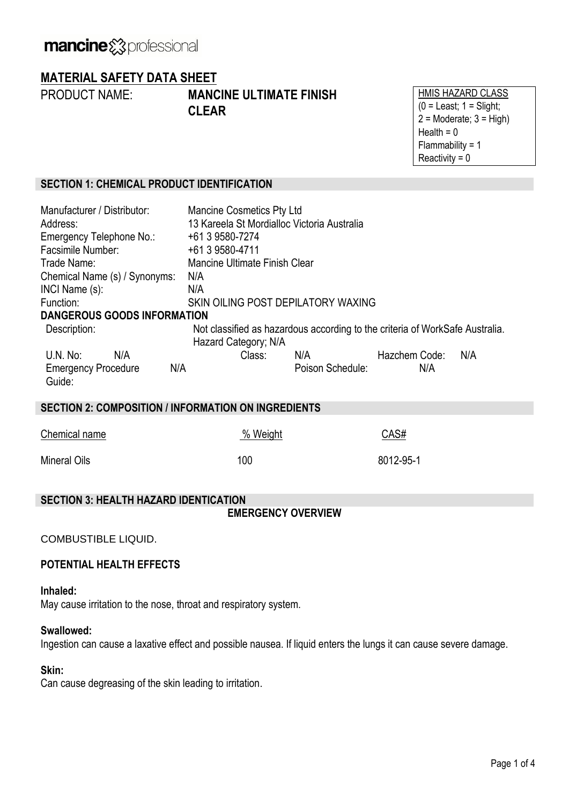# **MATERIAL SAFETY DATA SHEET**

PRODUCT NAME: **MANCINE ULTIMATE FINISH CLEAR**

HMIS HAZARD CLASS  $(0 =$  Least;  $1 =$  Slight;  $2 =$  Moderate;  $3 =$  High) Health  $= 0$ Flammability = 1 Reactivity  $= 0$ 

# **SECTION 1: CHEMICAL PRODUCT IDENTIFICATION**

| Manufacturer / Distributor:<br>Address:<br>Emergency Telephone No.: | <b>Mancine Cosmetics Pty Ltd</b><br>13 Kareela St Mordialloc Victoria Australia<br>+61 3 9580-7274   |                  |               |     |  |
|---------------------------------------------------------------------|------------------------------------------------------------------------------------------------------|------------------|---------------|-----|--|
| Facsimile Number:                                                   | +61 3 9580-4711                                                                                      |                  |               |     |  |
| Trade Name:                                                         | Mancine Ultimate Finish Clear                                                                        |                  |               |     |  |
| Chemical Name (s) / Synonyms:                                       | N/A                                                                                                  |                  |               |     |  |
| INCI Name (s):                                                      | N/A                                                                                                  |                  |               |     |  |
| Function:                                                           | SKIN OILING POST DEPILATORY WAXING                                                                   |                  |               |     |  |
| <b>DANGEROUS GOODS INFORMATION</b>                                  |                                                                                                      |                  |               |     |  |
| Description:                                                        | Not classified as hazardous according to the criteria of WorkSafe Australia.<br>Hazard Category; N/A |                  |               |     |  |
| U.N. No:<br>N/A                                                     | Class:                                                                                               | N/A              | Hazchem Code: | N/A |  |
| <b>Emergency Procedure</b><br>N/A<br>Guide:                         |                                                                                                      | Poison Schedule: | N/A           |     |  |
| <b>SECTION 2: COMPOSITION / INFORMATION ON INGREDIENTS</b>          |                                                                                                      |                  |               |     |  |
|                                                                     |                                                                                                      |                  |               |     |  |

| Chemical name       | % Weight | CAS#      |
|---------------------|----------|-----------|
| <b>Mineral Oils</b> | 100      | 8012-95-1 |

# **SECTION 3: HEALTH HAZARD IDENTICATION**

**EMERGENCY OVERVIEW**

COMBUSTIBLE LIQUID.

# **POTENTIAL HEALTH EFFECTS**

### **Inhaled:**

May cause irritation to the nose, throat and respiratory system.

# **Swallowed:**

Ingestion can cause a laxative effect and possible nausea. If liquid enters the lungs it can cause severe damage.

# **Skin:**

Can cause degreasing of the skin leading to irritation.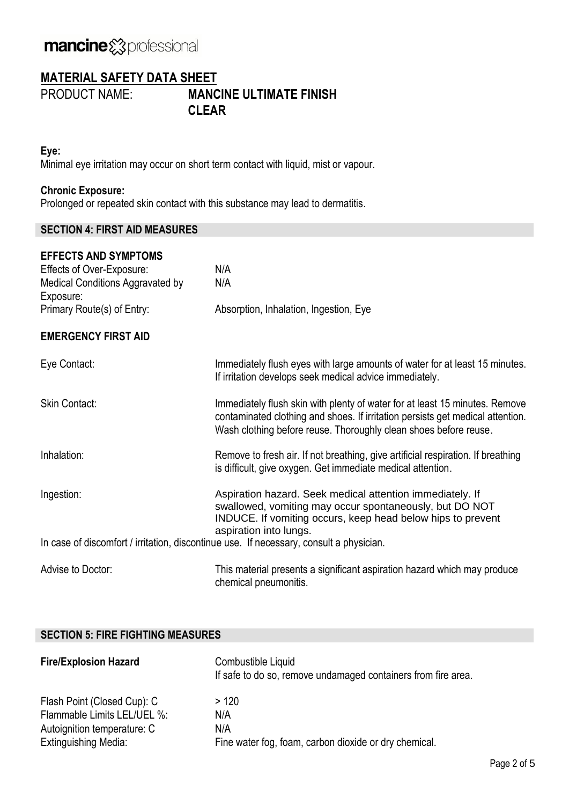# mancine & professional

# **MATERIAL SAFETY DATA SHEET**

PRODUCT NAME: **MANCINE ULTIMATE FINISH CLEAR**

### **Eye:**

Minimal eye irritation may occur on short term contact with liquid, mist or vapour.

# **Chronic Exposure:**

Prolonged or repeated skin contact with this substance may lead to dermatitis.

## **SECTION 4: FIRST AID MEASURES**

| <b>EFFECTS AND SYMPTOMS</b><br>Effects of Over-Exposure:<br>Medical Conditions Aggravated by | N/A<br>N/A                                                                                                                                                                                                                        |
|----------------------------------------------------------------------------------------------|-----------------------------------------------------------------------------------------------------------------------------------------------------------------------------------------------------------------------------------|
| Exposure:                                                                                    |                                                                                                                                                                                                                                   |
| Primary Route(s) of Entry:                                                                   | Absorption, Inhalation, Ingestion, Eye                                                                                                                                                                                            |
| <b>EMERGENCY FIRST AID</b>                                                                   |                                                                                                                                                                                                                                   |
| Eye Contact:                                                                                 | Immediately flush eyes with large amounts of water for at least 15 minutes.<br>If irritation develops seek medical advice immediately.                                                                                            |
| <b>Skin Contact:</b>                                                                         | Immediately flush skin with plenty of water for at least 15 minutes. Remove<br>contaminated clothing and shoes. If irritation persists get medical attention.<br>Wash clothing before reuse. Thoroughly clean shoes before reuse. |
| Inhalation:                                                                                  | Remove to fresh air. If not breathing, give artificial respiration. If breathing<br>is difficult, give oxygen. Get immediate medical attention.                                                                                   |
| Ingestion:                                                                                   | Aspiration hazard. Seek medical attention immediately. If<br>swallowed, vomiting may occur spontaneously, but DO NOT<br>INDUCE. If vomiting occurs, keep head below hips to prevent<br>aspiration into lungs.                     |
|                                                                                              | In case of discomfort / irritation, discontinue use. If necessary, consult a physician.                                                                                                                                           |
| Advise to Doctor:                                                                            | This material presents a significant aspiration hazard which may produce<br>chemical pneumonitis.                                                                                                                                 |

## **SECTION 5: FIRE FIGHTING MEASURES**

| <b>Fire/Explosion Hazard</b> | Combustible Liquid<br>If safe to do so, remove undamaged containers from fire area. |
|------------------------------|-------------------------------------------------------------------------------------|
| Flash Point (Closed Cup): C  | >120                                                                                |
| Flammable Limits LEL/UEL %:  | N/A                                                                                 |
| Autoignition temperature: C  | N/A                                                                                 |
| <b>Extinguishing Media:</b>  | Fine water fog, foam, carbon dioxide or dry chemical.                               |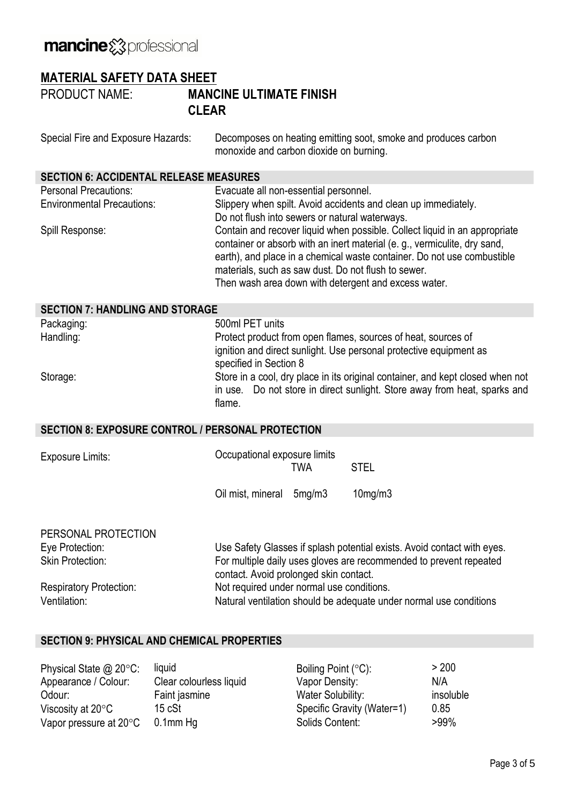# mancine &professional

# **MATERIAL SAFETY DATA SHEET**

PRODUCT NAME: **MANCINE ULTIMATE FINISH CLEAR**

| Special Fire and Exposure Hazards:                                | Decomposes on heating emitting soot, smoke and produces carbon<br>monoxide and carbon dioxide on burning.                                                                                                                                                                                                                                         |  |  |
|-------------------------------------------------------------------|---------------------------------------------------------------------------------------------------------------------------------------------------------------------------------------------------------------------------------------------------------------------------------------------------------------------------------------------------|--|--|
| <b>SECTION 6: ACCIDENTAL RELEASE MEASURES</b>                     |                                                                                                                                                                                                                                                                                                                                                   |  |  |
| <b>Personal Precautions:</b><br><b>Environmental Precautions:</b> | Evacuate all non-essential personnel.<br>Slippery when spilt. Avoid accidents and clean up immediately.<br>Do not flush into sewers or natural waterways.                                                                                                                                                                                         |  |  |
| Spill Response:                                                   | Contain and recover liquid when possible. Collect liquid in an appropriate<br>container or absorb with an inert material (e. g., vermiculite, dry sand,<br>earth), and place in a chemical waste container. Do not use combustible<br>materials, such as saw dust. Do not flush to sewer.<br>Then wash area down with detergent and excess water. |  |  |
| <b>SECTION 7: HANDLING AND STORAGE</b>                            |                                                                                                                                                                                                                                                                                                                                                   |  |  |
| Packaging:                                                        | 500ml PET units                                                                                                                                                                                                                                                                                                                                   |  |  |
| Handling:                                                         | Protect product from open flames, sources of heat, sources of<br>ignition and direct sunlight. Use personal protective equipment as<br>specified in Section 8                                                                                                                                                                                     |  |  |
| Storage:                                                          | Store in a cool, dry place in its original container, and kept closed when not<br>Do not store in direct sunlight. Store away from heat, sparks and<br>in use.<br>flame.                                                                                                                                                                          |  |  |
| <b>SECTION 8: EXPOSURE CONTROL / PERSONAL PROTECTION</b>          |                                                                                                                                                                                                                                                                                                                                                   |  |  |
| <b>Exposure Limits:</b>                                           | Occupational exposure limits<br><b>STEL</b><br><b>TWA</b>                                                                                                                                                                                                                                                                                         |  |  |
|                                                                   | Oil mist, mineral<br>10mg/m3<br>5mg/m3                                                                                                                                                                                                                                                                                                            |  |  |
| PERSONAL PROTECTION<br>Eye Protection:                            | Use Safety Glasses if splash potential exists. Avoid contact with eyes.                                                                                                                                                                                                                                                                           |  |  |
| <b>Skin Protection:</b>                                           | For multiple daily uses gloves are recommended to prevent repeated<br>contact. Avoid prolonged skin contact.<br>Not required under normal use conditions.                                                                                                                                                                                         |  |  |
| <b>Respiratory Protection:</b>                                    |                                                                                                                                                                                                                                                                                                                                                   |  |  |
| Ventilation:                                                      | Natural ventilation should be adequate under normal use conditions                                                                                                                                                                                                                                                                                |  |  |

# **SECTION 9: PHYSICAL AND CHEMICAL PROPERTIES**

| Physical State $@$ 20 $°C$ :     | liquid                  | Boiling Point $(°C)$ :     | > 200     |
|----------------------------------|-------------------------|----------------------------|-----------|
| Appearance / Colour:             | Clear colourless liquid | Vapor Density:             | N/A       |
| Odour:                           | Faint jasmine           | Water Solubility:          | insoluble |
| Viscosity at $20^{\circ}$ C      | 15 cSt                  | Specific Gravity (Water=1) | 0.85      |
| Vapor pressure at $20^{\circ}$ C | $0.1$ mm Hg             | Solids Content:            | $>99\%$   |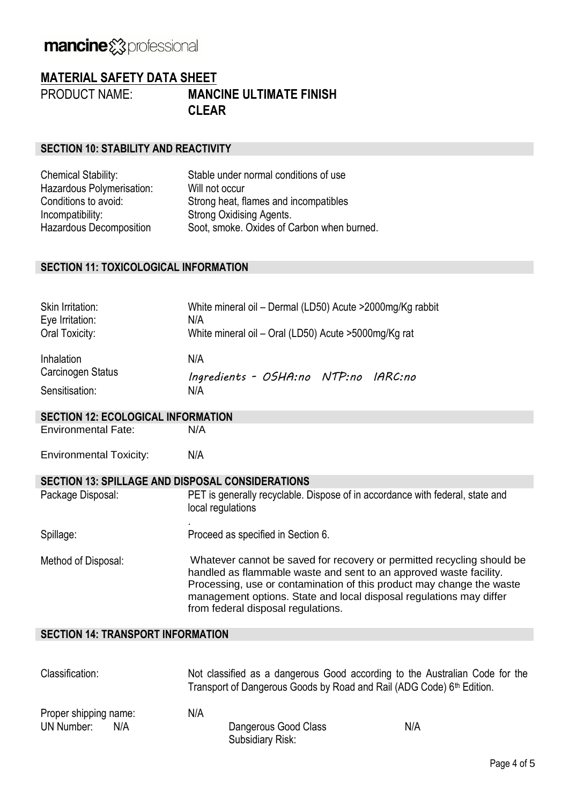# mancine &professional

# **MATERIAL SAFETY DATA SHEET**

PRODUCT NAME: **MANCINE ULTIMATE FINISH CLEAR**

### **SECTION 10: STABILITY AND REACTIVITY**

| <b>Chemical Stability:</b>     | Stable under normal conditions of use      |
|--------------------------------|--------------------------------------------|
| Hazardous Polymerisation:      | Will not occur                             |
| Conditions to avoid:           | Strong heat, flames and incompatibles      |
| Incompatibility:               | Strong Oxidising Agents.                   |
| <b>Hazardous Decomposition</b> | Soot, smoke. Oxides of Carbon when burned. |

#### **SECTION 11: TOXICOLOGICAL INFORMATION**

| Skin Irritation:<br>Eye Irritation:<br>Oral Toxicity:           | White mineral oil - Dermal (LD50) Acute > 2000mg/Kg rabbit<br>N/A<br>White mineral oil - Oral (LD50) Acute > 5000mg/Kg rat                                                                                                                                                                                                         |  |
|-----------------------------------------------------------------|------------------------------------------------------------------------------------------------------------------------------------------------------------------------------------------------------------------------------------------------------------------------------------------------------------------------------------|--|
| Inhalation<br>Carcinogen Status<br>Sensitisation:               | N/A<br>Ingredients - OSHA:no NTP:no IARC:no<br>N/A                                                                                                                                                                                                                                                                                 |  |
| <b>SECTION 12: ECOLOGICAL INFORMATION</b>                       |                                                                                                                                                                                                                                                                                                                                    |  |
| <b>Environmental Fate:</b>                                      | N/A                                                                                                                                                                                                                                                                                                                                |  |
| <b>Environmental Toxicity:</b>                                  | N/A                                                                                                                                                                                                                                                                                                                                |  |
| <b>SECTION 13: SPILLAGE AND DISPOSAL CONSIDERATIONS</b>         |                                                                                                                                                                                                                                                                                                                                    |  |
| Package Disposal:                                               | PET is generally recyclable. Dispose of in accordance with federal, state and<br>local regulations                                                                                                                                                                                                                                 |  |
| Spillage:                                                       | Proceed as specified in Section 6.                                                                                                                                                                                                                                                                                                 |  |
| Method of Disposal:                                             | Whatever cannot be saved for recovery or permitted recycling should be<br>handled as flammable waste and sent to an approved waste facility.<br>Processing, use or contamination of this product may change the waste<br>management options. State and local disposal regulations may differ<br>from federal disposal regulations. |  |
| <b>SECTION 14: TRANSPORT INFORMATION</b>                        |                                                                                                                                                                                                                                                                                                                                    |  |
|                                                                 |                                                                                                                                                                                                                                                                                                                                    |  |
| $\bigcap_{i=1}^{n}$ . $\bigcap_{i=1}^{n}$ . $\bigcap_{i=1}^{n}$ | Material and the contract contract of the controller of the American Arche from the                                                                                                                                                                                                                                                |  |

| Classification:          | Not classified as a dangerous Good according to the Australian Code for the<br>Transport of Dangerous Goods by Road and Rail (ADG Code) 6 <sup>th</sup> Edition. |     |
|--------------------------|------------------------------------------------------------------------------------------------------------------------------------------------------------------|-----|
| Proper shipping name:    | N/A                                                                                                                                                              |     |
| <b>UN Number:</b><br>N/A | Dangerous Good Class                                                                                                                                             | N/A |
|                          | Subsidiary Risk:                                                                                                                                                 |     |